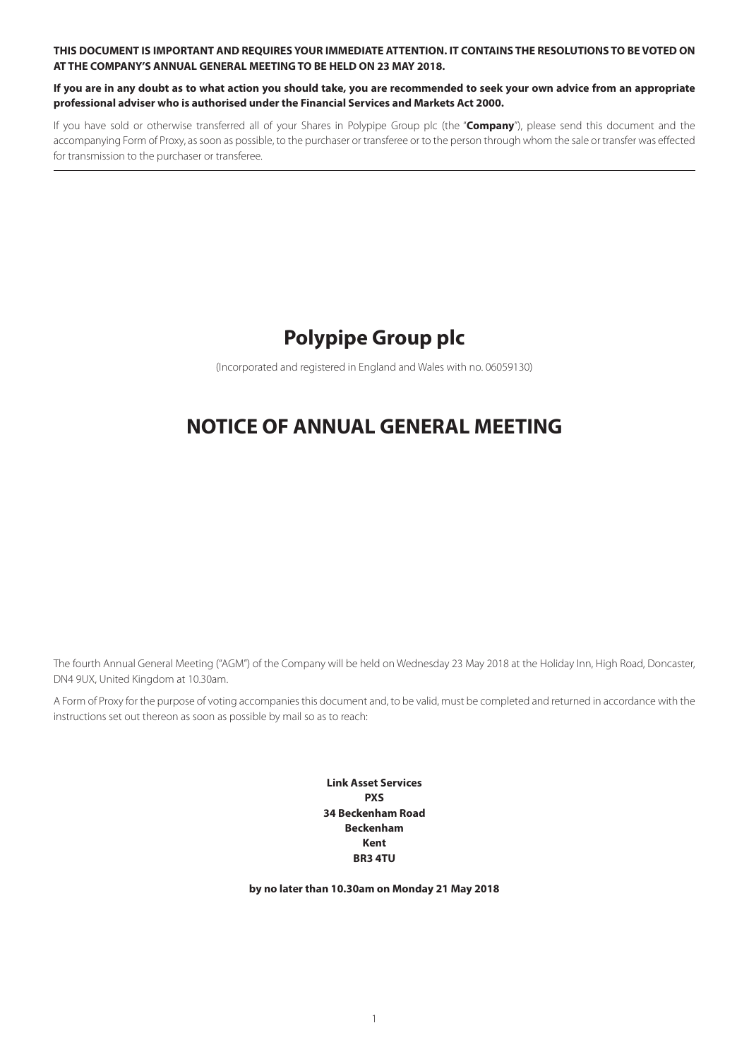**THIS DOCUMENT IS IMPORTANT AND REQUIRES YOUR IMMEDIATE ATTENTION. IT CONTAINS THE RESOLUTIONS TO BE VOTED ON AT THE COMPANY'S ANNUAL GENERAL MEETING TO BE HELD ON 23 MAY 2018.**

**If you are in any doubt as to what action you should take, you are recommended to seek your own advice from an appropriate professional adviser who is authorised under the Financial Services and Markets Act 2000.**

If you have sold or otherwise transferred all of your Shares in Polypipe Group plc (the "**Company**"), please send this document and the accompanying Form of Proxy, as soon as possible, to the purchaser or transferee or to the person through whom the sale or transfer was effected for transmission to the purchaser or transferee.

# **Polypipe Group plc**

(Incorporated and registered in England and Wales with no. 06059130)

# **NOTICE OF ANNUAL GENERAL MEETING**

The fourth Annual General Meeting ("AGM") of the Company will be held on Wednesday 23 May 2018 at the Holiday Inn, High Road, Doncaster, DN4 9UX, United Kingdom at 10.30am.

A Form of Proxy for the purpose of voting accompanies this document and, to be valid, must be completed and returned in accordance with the instructions set out thereon as soon as possible by mail so as to reach:

> **Link Asset Services PXS 34 Beckenham Road Beckenham Kent BR3 4TU**

**by no later than 10.30am on Monday 21 May 2018**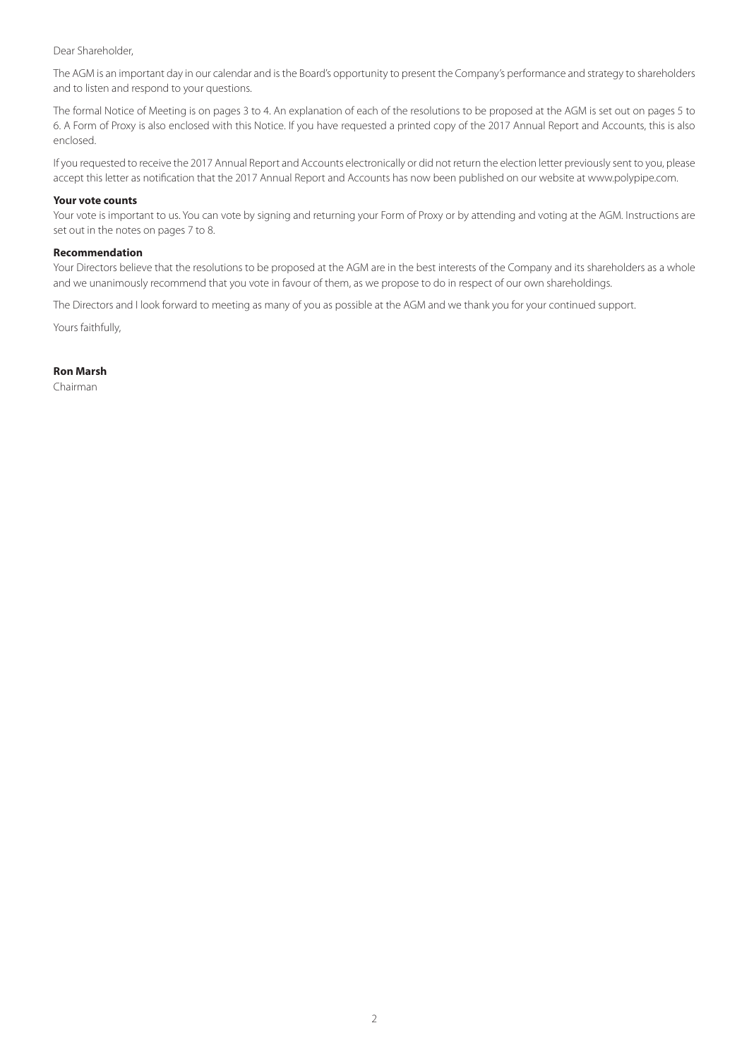Dear Shareholder,

The AGM is an important day in our calendar and is the Board's opportunity to present the Company's performance and strategy to shareholders and to listen and respond to your questions.

The formal Notice of Meeting is on pages 3 to 4. An explanation of each of the resolutions to be proposed at the AGM is set out on pages 5 to 6. A Form of Proxy is also enclosed with this Notice. If you have requested a printed copy of the 2017 Annual Report and Accounts, this is also enclosed.

If you requested to receive the 2017 Annual Report and Accounts electronically or did not return the election letter previously sent to you, please accept this letter as notification that the 2017 Annual Report and Accounts has now been published on our website at www.polypipe.com.

## **Your vote counts**

Your vote is important to us. You can vote by signing and returning your Form of Proxy or by attending and voting at the AGM. Instructions are set out in the notes on pages 7 to 8.

## **Recommendation**

Your Directors believe that the resolutions to be proposed at the AGM are in the best interests of the Company and its shareholders as a whole and we unanimously recommend that you vote in favour of them, as we propose to do in respect of our own shareholdings.

The Directors and I look forward to meeting as many of you as possible at the AGM and we thank you for your continued support.

Yours faithfully,

## **Ron Marsh**

Chairman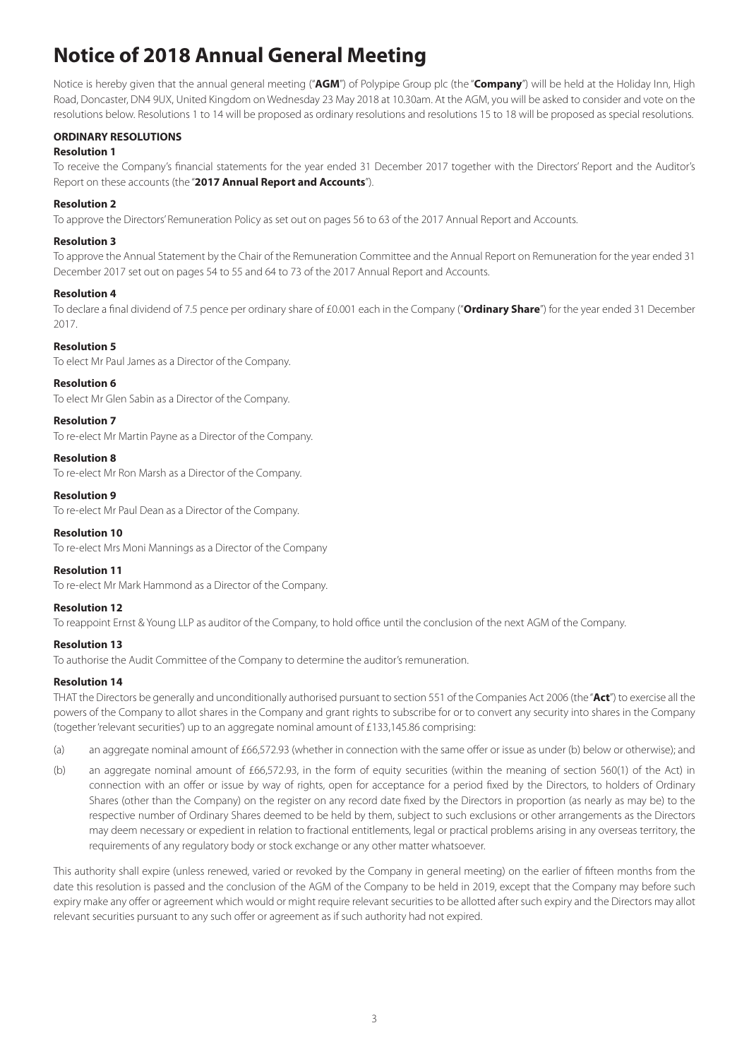# **Notice of 2018 Annual General Meeting**

Notice is hereby given that the annual general meeting ("**AGM**") of Polypipe Group plc (the "**Company**") will be held at the Holiday Inn, High Road, Doncaster, DN4 9UX, United Kingdom on Wednesday 23 May 2018 at 10.30am. At the AGM, you will be asked to consider and vote on the resolutions below. Resolutions 1 to 14 will be proposed as ordinary resolutions and resolutions 15 to 18 will be proposed as special resolutions.

# **ORDINARY RESOLUTIONS**

# **Resolution 1**

To receive the Company's financial statements for the year ended 31 December 2017 together with the Directors' Report and the Auditor's Report on these accounts (the "**2017 Annual Report and Accounts**").

# **Resolution 2**

To approve the Directors' Remuneration Policy as set out on pages 56 to 63 of the 2017 Annual Report and Accounts.

# **Resolution 3**

To approve the Annual Statement by the Chair of the Remuneration Committee and the Annual Report on Remuneration for the year ended 31 December 2017 set out on pages 54 to 55 and 64 to 73 of the 2017 Annual Report and Accounts.

# **Resolution 4**

To declare a final dividend of 7.5 pence per ordinary share of £0.001 each in the Company ("**Ordinary Share**") for the year ended 31 December 2017.

# **Resolution 5**

To elect Mr Paul James as a Director of the Company.

# **Resolution 6**

To elect Mr Glen Sabin as a Director of the Company.

# **Resolution 7**

To re-elect Mr Martin Payne as a Director of the Company.

**Resolution 8**

To re-elect Mr Ron Marsh as a Director of the Company.

# **Resolution 9**

To re-elect Mr Paul Dean as a Director of the Company.

# **Resolution 10**

To re-elect Mrs Moni Mannings as a Director of the Company

## **Resolution 11** To re-elect Mr Mark Hammond as a Director of the Company.

# **Resolution 12**

To reappoint Ernst & Young LLP as auditor of the Company, to hold office until the conclusion of the next AGM of the Company.

# **Resolution 13**

To authorise the Audit Committee of the Company to determine the auditor's remuneration.

# **Resolution 14**

THAT the Directors be generally and unconditionally authorised pursuant to section 551 of the Companies Act 2006 (the "**Act**") to exercise all the powers of the Company to allot shares in the Company and grant rights to subscribe for or to convert any security into shares in the Company (together 'relevant securities') up to an aggregate nominal amount of £133,145.86 comprising:

- (a) an aggregate nominal amount of £66,572.93 (whether in connection with the same offer or issue as under (b) below or otherwise); and
- (b) an aggregate nominal amount of £66,572.93, in the form of equity securities (within the meaning of section 560(1) of the Act) in connection with an offer or issue by way of rights, open for acceptance for a period fixed by the Directors, to holders of Ordinary Shares (other than the Company) on the register on any record date fixed by the Directors in proportion (as nearly as may be) to the respective number of Ordinary Shares deemed to be held by them, subject to such exclusions or other arrangements as the Directors may deem necessary or expedient in relation to fractional entitlements, legal or practical problems arising in any overseas territory, the requirements of any regulatory body or stock exchange or any other matter whatsoever.

This authority shall expire (unless renewed, varied or revoked by the Company in general meeting) on the earlier of fifteen months from the date this resolution is passed and the conclusion of the AGM of the Company to be held in 2019, except that the Company may before such expiry make any offer or agreement which would or might require relevant securities to be allotted after such expiry and the Directors may allot relevant securities pursuant to any such offer or agreement as if such authority had not expired.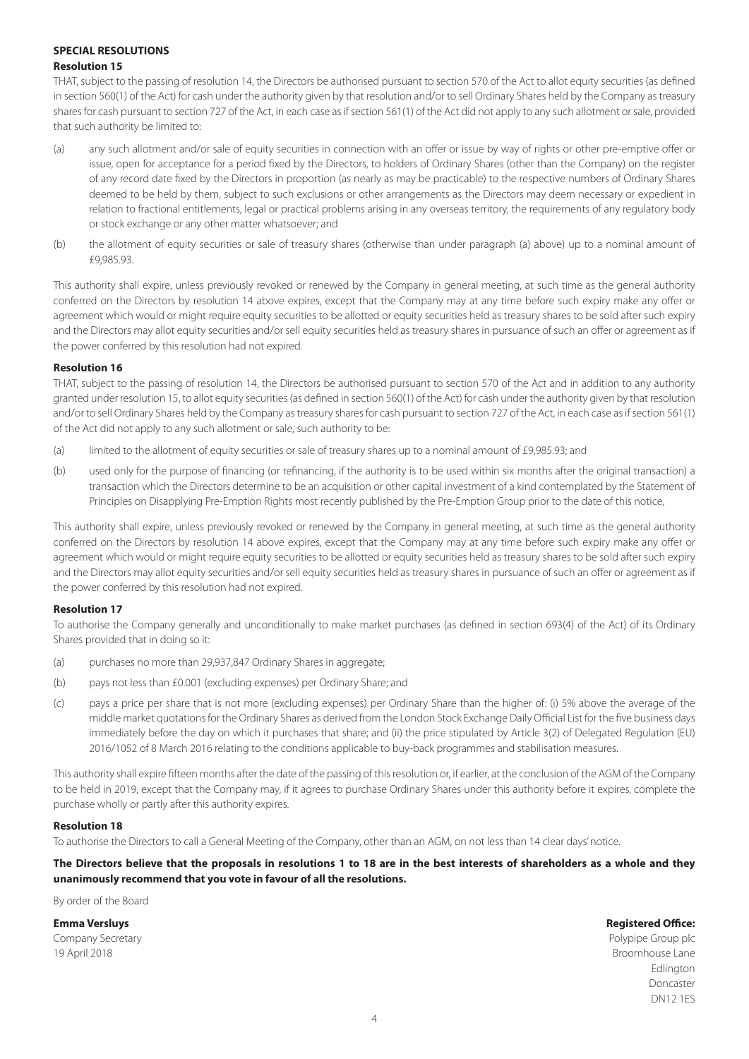# **SPECIAL RESOLUTIONS Resolution 15**

THAT, subject to the passing of resolution 14, the Directors be authorised pursuant to section 570 of the Act to allot equity securities (as defined in section 560(1) of the Act) for cash under the authority given by that resolution and/or to sell Ordinary Shares held by the Company as treasury shares for cash pursuant to section 727 of the Act, in each case as if section 561(1) of the Act did not apply to any such allotment or sale, provided that such authority be limited to:

- (a) any such allotment and/or sale of equity securities in connection with an offer or issue by way of rights or other pre-emptive offer or issue, open for acceptance for a period fixed by the Directors, to holders of Ordinary Shares (other than the Company) on the register of any record date fixed by the Directors in proportion (as nearly as may be practicable) to the respective numbers of Ordinary Shares deemed to be held by them, subject to such exclusions or other arrangements as the Directors may deem necessary or expedient in relation to fractional entitlements, legal or practical problems arising in any overseas territory, the requirements of any regulatory body or stock exchange or any other matter whatsoever; and
- (b) the allotment of equity securities or sale of treasury shares (otherwise than under paragraph (a) above) up to a nominal amount of £9,985.93.

This authority shall expire, unless previously revoked or renewed by the Company in general meeting, at such time as the general authority conferred on the Directors by resolution 14 above expires, except that the Company may at any time before such expiry make any offer or agreement which would or might require equity securities to be allotted or equity securities held as treasury shares to be sold after such expiry and the Directors may allot equity securities and/or sell equity securities held as treasury shares in pursuance of such an offer or agreement as if the power conferred by this resolution had not expired.

# **Resolution 16**

THAT, subject to the passing of resolution 14, the Directors be authorised pursuant to section 570 of the Act and in addition to any authority granted under resolution 15, to allot equity securities (as defined in section 560(1) of the Act) for cash under the authority given by that resolution and/or to sell Ordinary Shares held by the Company as treasury shares for cash pursuant to section 727 of the Act, in each case as if section 561(1) of the Act did not apply to any such allotment or sale, such authority to be:

- (a) limited to the allotment of equity securities or sale of treasury shares up to a nominal amount of £9,985.93; and
- (b) used only for the purpose of financing (or refinancing, if the authority is to be used within six months after the original transaction) a transaction which the Directors determine to be an acquisition or other capital investment of a kind contemplated by the Statement of Principles on Disapplying Pre-Emption Rights most recently published by the Pre-Emption Group prior to the date of this notice,

This authority shall expire, unless previously revoked or renewed by the Company in general meeting, at such time as the general authority conferred on the Directors by resolution 14 above expires, except that the Company may at any time before such expiry make any offer or agreement which would or might require equity securities to be allotted or equity securities held as treasury shares to be sold after such expiry and the Directors may allot equity securities and/or sell equity securities held as treasury shares in pursuance of such an offer or agreement as if the power conferred by this resolution had not expired.

# **Resolution 17**

To authorise the Company generally and unconditionally to make market purchases (as defined in section 693(4) of the Act) of its Ordinary Shares provided that in doing so it:

- (a) purchases no more than 29,937,847 Ordinary Shares in aggregate;
- (b) pays not less than £0.001 (excluding expenses) per Ordinary Share; and
- (c) pays a price per share that is not more (excluding expenses) per Ordinary Share than the higher of: (i) 5% above the average of the middle market quotations for the Ordinary Shares as derived from the London Stock Exchange Daily Official List for the five business days immediately before the day on which it purchases that share; and (ii) the price stipulated by Article 3(2) of Delegated Regulation (EU) 2016/1052 of 8 March 2016 relating to the conditions applicable to buy-back programmes and stabilisation measures.

This authority shall expire fifteen months after the date of the passing of this resolution or, if earlier, at the conclusion of the AGM of the Company to be held in 2019, except that the Company may, if it agrees to purchase Ordinary Shares under this authority before it expires, complete the purchase wholly or partly after this authority expires.

# **Resolution 18**

To authorise the Directors to call a General Meeting of the Company, other than an AGM, on not less than 14 clear days' notice.

# **The Directors believe that the proposals in resolutions 1 to 18 are in the best interests of shareholders as a whole and they unanimously recommend that you vote in favour of all the resolutions.**

By order of the Board

# **Emma Versluys Registered Office:**

Company Secretary **Polypipe Group plc** Company Secretary **Polypipe Group plc** 19 April 2018 Broomhouse Lane

Edlington Doncaster DN12 1ES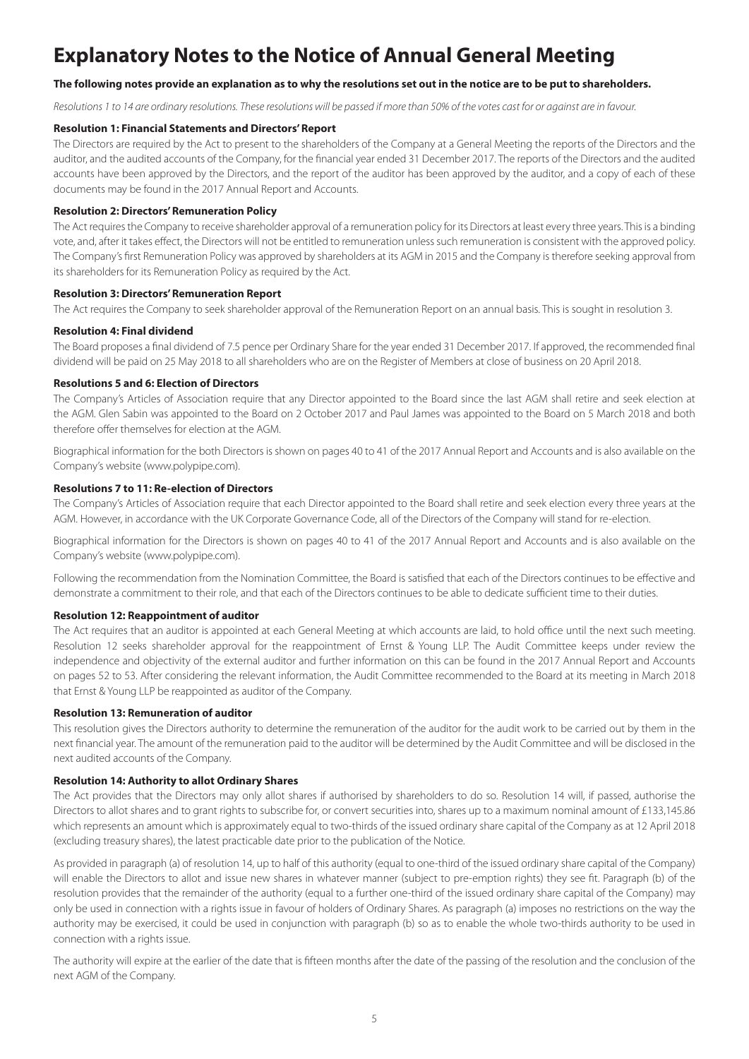# **Explanatory Notes to the Notice of Annual General Meeting**

# **The following notes provide an explanation as to why the resolutions set out in the notice are to be put to shareholders.**

*Resolutions 1 to 14 are ordinary resolutions. These resolutions will be passed if more than 50% of the votes cast for or against are in favour.* 

## **Resolution 1: Financial Statements and Directors' Report**

The Directors are required by the Act to present to the shareholders of the Company at a General Meeting the reports of the Directors and the auditor, and the audited accounts of the Company, for the financial year ended 31 December 2017. The reports of the Directors and the audited accounts have been approved by the Directors, and the report of the auditor has been approved by the auditor, and a copy of each of these documents may be found in the 2017 Annual Report and Accounts.

## **Resolution 2: Directors' Remuneration Policy**

The Act requires the Company to receive shareholder approval of a remuneration policy for its Directors at least every three years. This is a binding vote, and, after it takes effect, the Directors will not be entitled to remuneration unless such remuneration is consistent with the approved policy. The Company's first Remuneration Policy was approved by shareholders at its AGM in 2015 and the Company is therefore seeking approval from its shareholders for its Remuneration Policy as required by the Act.

## **Resolution 3: Directors' Remuneration Report**

The Act requires the Company to seek shareholder approval of the Remuneration Report on an annual basis. This is sought in resolution 3.

## **Resolution 4: Final dividend**

The Board proposes a final dividend of 7.5 pence per Ordinary Share for the year ended 31 December 2017. If approved, the recommended final dividend will be paid on 25 May 2018 to all shareholders who are on the Register of Members at close of business on 20 April 2018.

## **Resolutions 5 and 6: Election of Directors**

The Company's Articles of Association require that any Director appointed to the Board since the last AGM shall retire and seek election at the AGM. Glen Sabin was appointed to the Board on 2 October 2017 and Paul James was appointed to the Board on 5 March 2018 and both therefore offer themselves for election at the AGM.

Biographical information for the both Directors is shown on pages 40 to 41 of the 2017 Annual Report and Accounts and is also available on the Company's website (www.polypipe.com).

# **Resolutions 7 to 11: Re-election of Directors**

The Company's Articles of Association require that each Director appointed to the Board shall retire and seek election every three years at the AGM. However, in accordance with the UK Corporate Governance Code, all of the Directors of the Company will stand for re-election.

Biographical information for the Directors is shown on pages 40 to 41 of the 2017 Annual Report and Accounts and is also available on the Company's website (www.polypipe.com).

Following the recommendation from the Nomination Committee, the Board is satisfied that each of the Directors continues to be effective and demonstrate a commitment to their role, and that each of the Directors continues to be able to dedicate sufficient time to their duties.

## **Resolution 12: Reappointment of auditor**

The Act requires that an auditor is appointed at each General Meeting at which accounts are laid, to hold office until the next such meeting. Resolution 12 seeks shareholder approval for the reappointment of Ernst & Young LLP. The Audit Committee keeps under review the independence and objectivity of the external auditor and further information on this can be found in the 2017 Annual Report and Accounts on pages 52 to 53. After considering the relevant information, the Audit Committee recommended to the Board at its meeting in March 2018 that Ernst & Young LLP be reappointed as auditor of the Company.

## **Resolution 13: Remuneration of auditor**

This resolution gives the Directors authority to determine the remuneration of the auditor for the audit work to be carried out by them in the next financial year. The amount of the remuneration paid to the auditor will be determined by the Audit Committee and will be disclosed in the next audited accounts of the Company.

## **Resolution 14: Authority to allot Ordinary Shares**

The Act provides that the Directors may only allot shares if authorised by shareholders to do so. Resolution 14 will, if passed, authorise the Directors to allot shares and to grant rights to subscribe for, or convert securities into, shares up to a maximum nominal amount of £133,145.86 which represents an amount which is approximately equal to two-thirds of the issued ordinary share capital of the Company as at 12 April 2018 (excluding treasury shares), the latest practicable date prior to the publication of the Notice.

As provided in paragraph (a) of resolution 14, up to half of this authority (equal to one-third of the issued ordinary share capital of the Company) will enable the Directors to allot and issue new shares in whatever manner (subject to pre-emption rights) they see fit. Paragraph (b) of the resolution provides that the remainder of the authority (equal to a further one-third of the issued ordinary share capital of the Company) may only be used in connection with a rights issue in favour of holders of Ordinary Shares. As paragraph (a) imposes no restrictions on the way the authority may be exercised, it could be used in conjunction with paragraph (b) so as to enable the whole two-thirds authority to be used in connection with a rights issue.

The authority will expire at the earlier of the date that is fifteen months after the date of the passing of the resolution and the conclusion of the next AGM of the Company.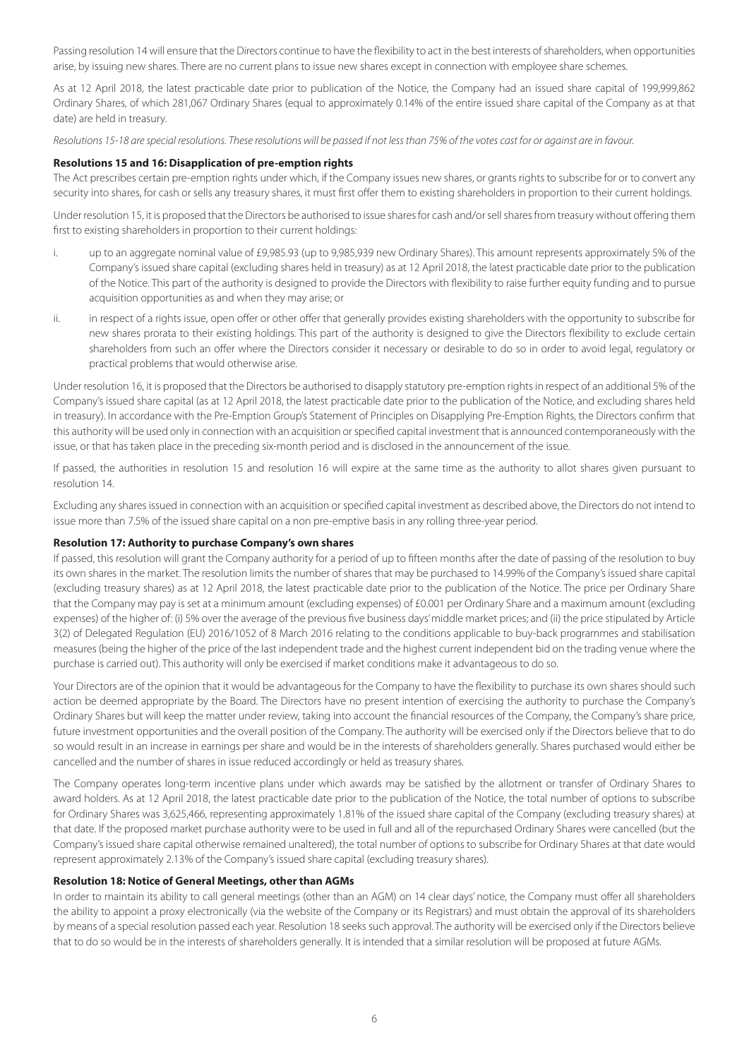Passing resolution 14 will ensure that the Directors continue to have the flexibility to act in the best interests of shareholders, when opportunities arise, by issuing new shares. There are no current plans to issue new shares except in connection with employee share schemes.

As at 12 April 2018, the latest practicable date prior to publication of the Notice, the Company had an issued share capital of 199,999,862 Ordinary Shares, of which 281,067 Ordinary Shares (equal to approximately 0.14% of the entire issued share capital of the Company as at that date) are held in treasury.

*Resolutions 15-18 are special resolutions. These resolutions will be passed if not less than 75% of the votes cast for or against are in favour.*

## **Resolutions 15 and 16: Disapplication of pre-emption rights**

The Act prescribes certain pre-emption rights under which, if the Company issues new shares, or grants rights to subscribe for or to convert any security into shares, for cash or sells any treasury shares, it must first offer them to existing shareholders in proportion to their current holdings.

Under resolution 15, it is proposed that the Directors be authorised to issue shares for cash and/or sell shares from treasury without offering them first to existing shareholders in proportion to their current holdings:

- i. up to an aggregate nominal value of £9,985.93 (up to 9,985,939 new Ordinary Shares). This amount represents approximately 5% of the Company's issued share capital (excluding shares held in treasury) as at 12 April 2018, the latest practicable date prior to the publication of the Notice. This part of the authority is designed to provide the Directors with flexibility to raise further equity funding and to pursue acquisition opportunities as and when they may arise; or
- ii. in respect of a rights issue, open offer or other offer that generally provides existing shareholders with the opportunity to subscribe for new shares prorata to their existing holdings. This part of the authority is designed to give the Directors flexibility to exclude certain shareholders from such an offer where the Directors consider it necessary or desirable to do so in order to avoid legal, regulatory or practical problems that would otherwise arise.

Under resolution 16, it is proposed that the Directors be authorised to disapply statutory pre-emption rights in respect of an additional 5% of the Company's issued share capital (as at 12 April 2018, the latest practicable date prior to the publication of the Notice, and excluding shares held in treasury). In accordance with the Pre-Emption Group's Statement of Principles on Disapplying Pre-Emption Rights, the Directors confirm that this authority will be used only in connection with an acquisition or specified capital investment that is announced contemporaneously with the issue, or that has taken place in the preceding six-month period and is disclosed in the announcement of the issue.

If passed, the authorities in resolution 15 and resolution 16 will expire at the same time as the authority to allot shares given pursuant to resolution 14.

Excluding any shares issued in connection with an acquisition or specified capital investment as described above, the Directors do not intend to issue more than 7.5% of the issued share capital on a non pre-emptive basis in any rolling three-year period.

## **Resolution 17: Authority to purchase Company's own shares**

If passed, this resolution will grant the Company authority for a period of up to fifteen months after the date of passing of the resolution to buy its own shares in the market. The resolution limits the number of shares that may be purchased to 14.99% of the Company's issued share capital (excluding treasury shares) as at 12 April 2018, the latest practicable date prior to the publication of the Notice. The price per Ordinary Share that the Company may pay is set at a minimum amount (excluding expenses) of £0.001 per Ordinary Share and a maximum amount (excluding expenses) of the higher of: (i) 5% over the average of the previous five business days' middle market prices; and (ii) the price stipulated by Article 3(2) of Delegated Regulation (EU) 2016/1052 of 8 March 2016 relating to the conditions applicable to buy-back programmes and stabilisation measures (being the higher of the price of the last independent trade and the highest current independent bid on the trading venue where the purchase is carried out). This authority will only be exercised if market conditions make it advantageous to do so.

Your Directors are of the opinion that it would be advantageous for the Company to have the flexibility to purchase its own shares should such action be deemed appropriate by the Board. The Directors have no present intention of exercising the authority to purchase the Company's Ordinary Shares but will keep the matter under review, taking into account the financial resources of the Company, the Company's share price, future investment opportunities and the overall position of the Company. The authority will be exercised only if the Directors believe that to do so would result in an increase in earnings per share and would be in the interests of shareholders generally. Shares purchased would either be cancelled and the number of shares in issue reduced accordingly or held as treasury shares.

The Company operates long-term incentive plans under which awards may be satisfied by the allotment or transfer of Ordinary Shares to award holders. As at 12 April 2018, the latest practicable date prior to the publication of the Notice, the total number of options to subscribe for Ordinary Shares was 3,625,466, representing approximately 1.81% of the issued share capital of the Company (excluding treasury shares) at that date. If the proposed market purchase authority were to be used in full and all of the repurchased Ordinary Shares were cancelled (but the Company's issued share capital otherwise remained unaltered), the total number of options to subscribe for Ordinary Shares at that date would represent approximately 2.13% of the Company's issued share capital (excluding treasury shares).

#### **Resolution 18: Notice of General Meetings, other than AGMs**

In order to maintain its ability to call general meetings (other than an AGM) on 14 clear days' notice, the Company must offer all shareholders the ability to appoint a proxy electronically (via the website of the Company or its Registrars) and must obtain the approval of its shareholders by means of a special resolution passed each year. Resolution 18 seeks such approval. The authority will be exercised only if the Directors believe that to do so would be in the interests of shareholders generally. It is intended that a similar resolution will be proposed at future AGMs.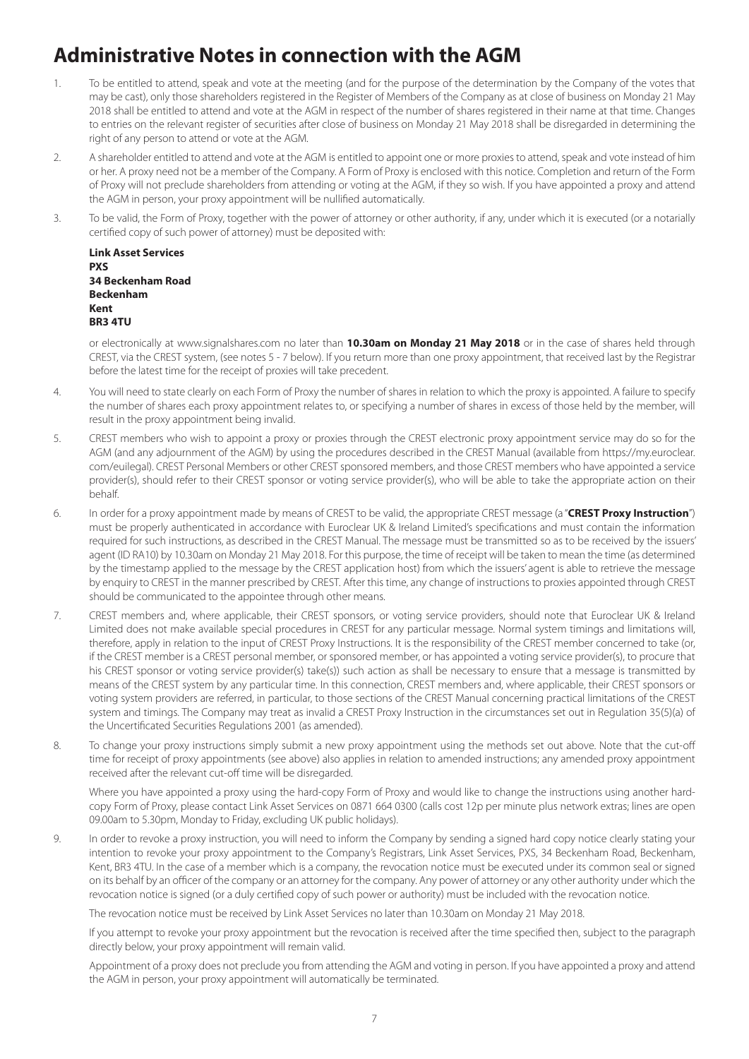# **Administrative Notes in connection with the AGM**

- 1. To be entitled to attend, speak and vote at the meeting (and for the purpose of the determination by the Company of the votes that may be cast), only those shareholders registered in the Register of Members of the Company as at close of business on Monday 21 May 2018 shall be entitled to attend and vote at the AGM in respect of the number of shares registered in their name at that time. Changes to entries on the relevant register of securities after close of business on Monday 21 May 2018 shall be disregarded in determining the right of any person to attend or vote at the AGM.
- 2. A shareholder entitled to attend and vote at the AGM is entitled to appoint one or more proxies to attend, speak and vote instead of him or her. A proxy need not be a member of the Company. A Form of Proxy is enclosed with this notice. Completion and return of the Form of Proxy will not preclude shareholders from attending or voting at the AGM, if they so wish. If you have appointed a proxy and attend the AGM in person, your proxy appointment will be nullified automatically.
- 3. To be valid, the Form of Proxy, together with the power of attorney or other authority, if any, under which it is executed (or a notarially certified copy of such power of attorney) must be deposited with:

**Link Asset Services PXS 34 Beckenham Road Beckenham Kent BR3 4TU**

or electronically at www.signalshares.com no later than **10.30am on Monday 21 May 2018** or in the case of shares held through CREST, via the CREST system, (see notes 5 - 7 below). If you return more than one proxy appointment, that received last by the Registrar before the latest time for the receipt of proxies will take precedent.

- 4. You will need to state clearly on each Form of Proxy the number of shares in relation to which the proxy is appointed. A failure to specify the number of shares each proxy appointment relates to, or specifying a number of shares in excess of those held by the member, will result in the proxy appointment being invalid.
- 5. CREST members who wish to appoint a proxy or proxies through the CREST electronic proxy appointment service may do so for the AGM (and any adjournment of the AGM) by using the procedures described in the CREST Manual (available from https://my.euroclear. com/euilegal). CREST Personal Members or other CREST sponsored members, and those CREST members who have appointed a service provider(s), should refer to their CREST sponsor or voting service provider(s), who will be able to take the appropriate action on their behalf.
- 6. In order for a proxy appointment made by means of CREST to be valid, the appropriate CREST message (a "**CREST Proxy Instruction**") must be properly authenticated in accordance with Euroclear UK & Ireland Limited's specifications and must contain the information required for such instructions, as described in the CREST Manual. The message must be transmitted so as to be received by the issuers' agent (ID RA10) by 10.30am on Monday 21 May 2018. For this purpose, the time of receipt will be taken to mean the time (as determined by the timestamp applied to the message by the CREST application host) from which the issuers' agent is able to retrieve the message by enquiry to CREST in the manner prescribed by CREST. After this time, any change of instructions to proxies appointed through CREST should be communicated to the appointee through other means.
- 7. CREST members and, where applicable, their CREST sponsors, or voting service providers, should note that Euroclear UK & Ireland Limited does not make available special procedures in CREST for any particular message. Normal system timings and limitations will, therefore, apply in relation to the input of CREST Proxy Instructions. It is the responsibility of the CREST member concerned to take (or, if the CREST member is a CREST personal member, or sponsored member, or has appointed a voting service provider(s), to procure that his CREST sponsor or voting service provider(s) take(s)) such action as shall be necessary to ensure that a message is transmitted by means of the CREST system by any particular time. In this connection, CREST members and, where applicable, their CREST sponsors or voting system providers are referred, in particular, to those sections of the CREST Manual concerning practical limitations of the CREST system and timings. The Company may treat as invalid a CREST Proxy Instruction in the circumstances set out in Regulation 35(5)(a) of the Uncertificated Securities Regulations 2001 (as amended).
- 8. To change your proxy instructions simply submit a new proxy appointment using the methods set out above. Note that the cut-off time for receipt of proxy appointments (see above) also applies in relation to amended instructions; any amended proxy appointment received after the relevant cut-off time will be disregarded.

Where you have appointed a proxy using the hard-copy Form of Proxy and would like to change the instructions using another hardcopy Form of Proxy, please contact Link Asset Services on 0871 664 0300 (calls cost 12p per minute plus network extras; lines are open 09.00am to 5.30pm, Monday to Friday, excluding UK public holidays).

9. In order to revoke a proxy instruction, you will need to inform the Company by sending a signed hard copy notice clearly stating your intention to revoke your proxy appointment to the Company's Registrars, Link Asset Services, PXS, 34 Beckenham Road, Beckenham, Kent, BR3 4TU. In the case of a member which is a company, the revocation notice must be executed under its common seal or signed on its behalf by an officer of the company or an attorney for the company. Any power of attorney or any other authority under which the revocation notice is signed (or a duly certified copy of such power or authority) must be included with the revocation notice.

The revocation notice must be received by Link Asset Services no later than 10.30am on Monday 21 May 2018.

If you attempt to revoke your proxy appointment but the revocation is received after the time specified then, subject to the paragraph directly below, your proxy appointment will remain valid.

Appointment of a proxy does not preclude you from attending the AGM and voting in person. If you have appointed a proxy and attend the AGM in person, your proxy appointment will automatically be terminated.